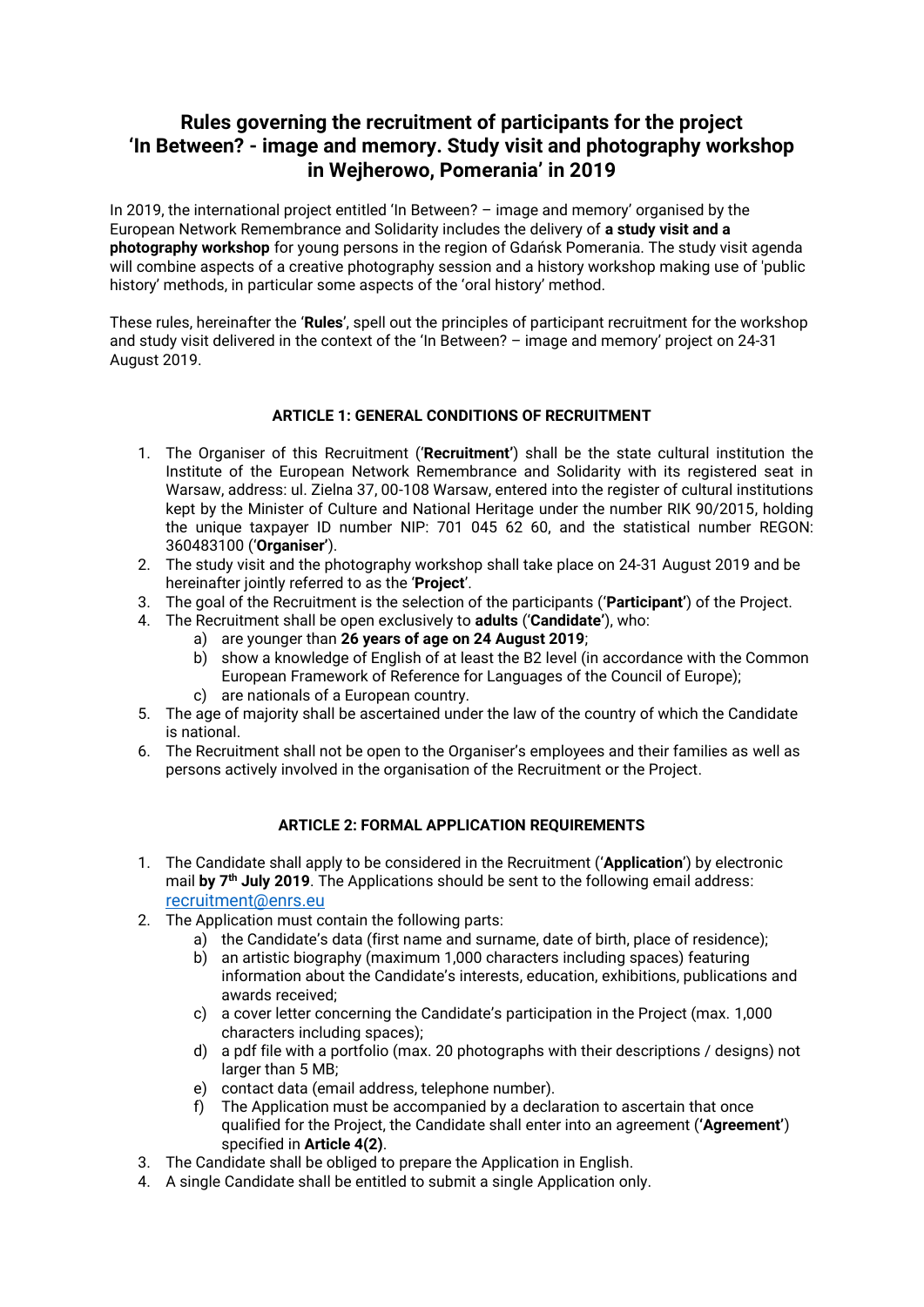# **Rules governing the recruitment of participants for the project 'In Between? - image and memory. Study visit and photography workshop in Wejherowo, Pomerania' in 2019**

In 2019, the international project entitled 'In Between? – image and memory' organised by the European Network Remembrance and Solidarity includes the delivery of **a study visit and a photography workshop** for young persons in the region of Gdańsk Pomerania. The study visit agenda will combine aspects of a creative photography session and a history workshop making use of 'public history' methods, in particular some aspects of the 'oral history' method.

These rules, hereinafter the '**Rules**', spell out the principles of participant recruitment for the workshop and study visit delivered in the context of the 'In Between? – image and memory' project on 24-31 August 2019.

## **ARTICLE 1: GENERAL CONDITIONS OF RECRUITMENT**

- 1. The Organiser of this Recruitment ('**Recruitment'**) shall be the state cultural institution the Institute of the European Network Remembrance and Solidarity with its registered seat in Warsaw, address: ul. Zielna 37, 00-108 Warsaw, entered into the register of cultural institutions kept by the Minister of Culture and National Heritage under the number RIK 90/2015, holding the unique taxpayer ID number NIP: 701 045 62 60, and the statistical number REGON: 360483100 ('**Organiser'**).
- 2. The study visit and the photography workshop shall take place on 24-31 August 2019 and be hereinafter jointly referred to as the '**Project**'.
- 3. The goal of the Recruitment is the selection of the participants ('**Participant'**) of the Project.
- 4. The Recruitment shall be open exclusively to **adults** ('**Candidate'**), who:
	- a) are younger than **26 years of age on 24 August 2019**;
	- b) show a knowledge of English of at least the B2 level (in accordance with the Common European Framework of Reference for Languages of the Council of Europe);
	- c) are nationals of a European country.
- 5. The age of majority shall be ascertained under the law of the country of which the Candidate is national.
- 6. The Recruitment shall not be open to the Organiser's employees and their families as well as persons actively involved in the organisation of the Recruitment or the Project.

# **ARTICLE 2: FORMAL APPLICATION REQUIREMENTS**

- 1. The Candidate shall apply to be considered in the Recruitment ('**Application**') by electronic mail **by 7 th July 2019**. The Applications should be sent to the following email address: [recruitment@enrs.eu](mailto:recruitment@enrs.eu)
- 2. The Application must contain the following parts:
	- a) the Candidate's data (first name and surname, date of birth, place of residence);
	- b) an artistic biography (maximum 1,000 characters including spaces) featuring information about the Candidate's interests, education, exhibitions, publications and awards received;
	- c) a cover letter concerning the Candidate's participation in the Project (max. 1,000 characters including spaces);
	- d) a pdf file with a portfolio (max. 20 photographs with their descriptions / designs) not larger than 5 MB;
	- e) contact data (email address, telephone number).
	- f) The Application must be accompanied by a declaration to ascertain that once qualified for the Project, the Candidate shall enter into an agreement (**'Agreement'**) specified in **Article 4(2)**.
- 3. The Candidate shall be obliged to prepare the Application in English.
- 4. A single Candidate shall be entitled to submit a single Application only.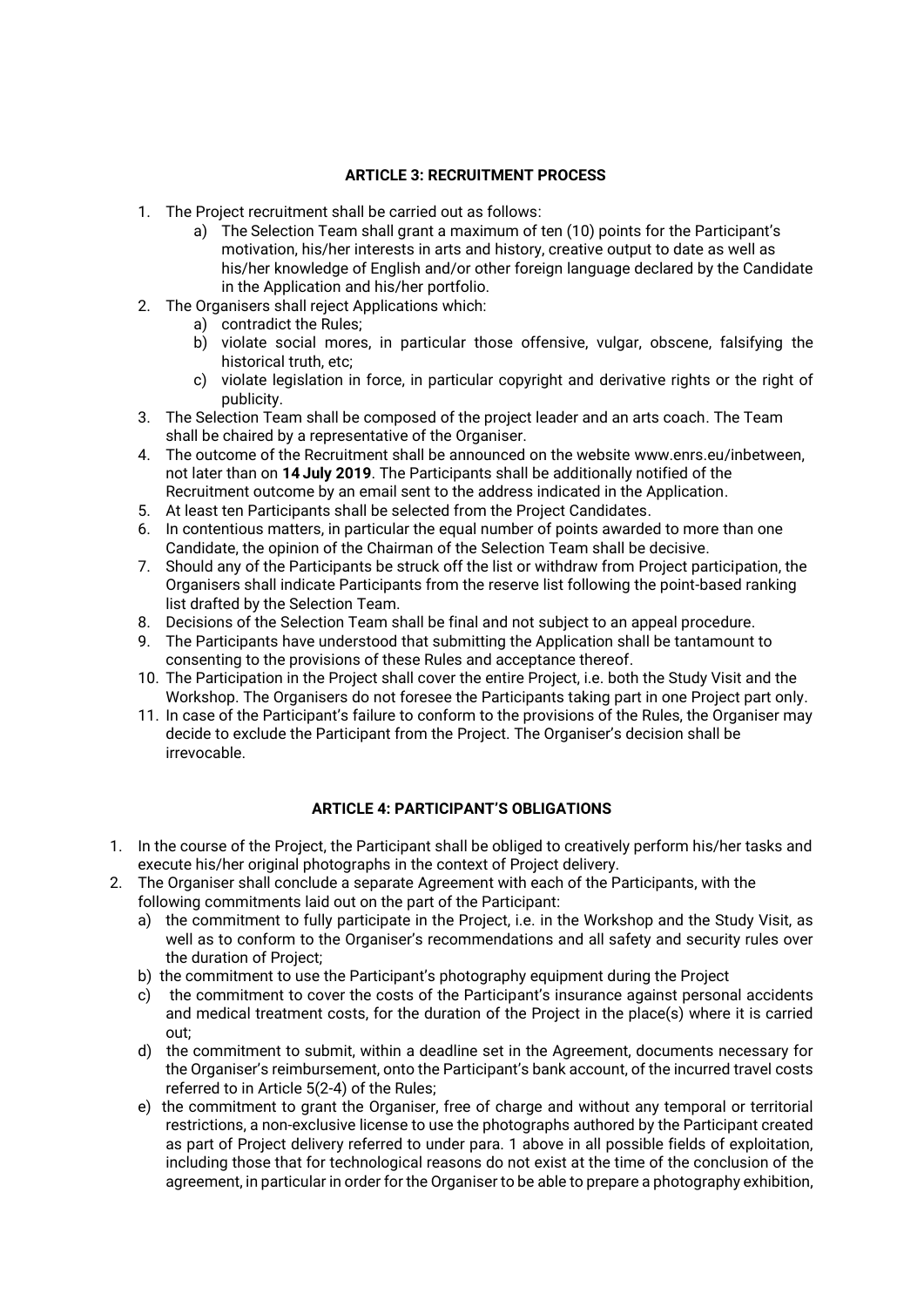#### **ARTICLE 3: RECRUITMENT PROCESS**

- 1. The Project recruitment shall be carried out as follows:
	- a) The Selection Team shall grant a maximum of ten (10) points for the Participant's motivation, his/her interests in arts and history, creative output to date as well as his/her knowledge of English and/or other foreign language declared by the Candidate in the Application and his/her portfolio.
- 2. The Organisers shall reject Applications which:
	- a) contradict the Rules;
	- b) violate social mores, in particular those offensive, vulgar, obscene, falsifying the historical truth, etc;
	- c) violate legislation in force, in particular copyright and derivative rights or the right of publicity.
- 3. The Selection Team shall be composed of the project leader and an arts coach. The Team shall be chaired by a representative of the Organiser.
- 4. The outcome of the Recruitment shall be announced on the website [www.enrs.eu/inbetween,](http://www.inbetween.enrs.eu/)  not later than on **14 July 2019**. The Participants shall be additionally notified of the Recruitment outcome by an email sent to the address indicated in the Application.
- 5. At least ten Participants shall be selected from the Project Candidates.
- 6. In contentious matters, in particular the equal number of points awarded to more than one Candidate, the opinion of the Chairman of the Selection Team shall be decisive.
- 7. Should any of the Participants be struck off the list or withdraw from Project participation, the Organisers shall indicate Participants from the reserve list following the point-based ranking list drafted by the Selection Team.
- 8. Decisions of the Selection Team shall be final and not subject to an appeal procedure.
- 9. The Participants have understood that submitting the Application shall be tantamount to consenting to the provisions of these Rules and acceptance thereof.
- 10. The Participation in the Project shall cover the entire Project, i.e. both the Study Visit and the Workshop. The Organisers do not foresee the Participants taking part in one Project part only.
- 11. In case of the Participant's failure to conform to the provisions of the Rules, the Organiser may decide to exclude the Participant from the Project. The Organiser's decision shall be irrevocable.

# **ARTICLE 4: PARTICIPANT'S OBLIGATIONS**

- 1. In the course of the Project, the Participant shall be obliged to creatively perform his/her tasks and execute his/her original photographs in the context of Project delivery.
- 2. The Organiser shall conclude a separate Agreement with each of the Participants, with the following commitments laid out on the part of the Participant:
	- a) the commitment to fully participate in the Project, i.e. in the Workshop and the Study Visit, as well as to conform to the Organiser's recommendations and all safety and security rules over the duration of Project;
	- b) the commitment to use the Participant's photography equipment during the Project
	- c) the commitment to cover the costs of the Participant's insurance against personal accidents and medical treatment costs, for the duration of the Project in the place(s) where it is carried out;
	- d) the commitment to submit, within a deadline set in the Agreement, documents necessary for the Organiser's reimbursement, onto the Participant's bank account, of the incurred travel costs referred to in Article 5(2-4) of the Rules;
	- e) the commitment to grant the Organiser, free of charge and without any temporal or territorial restrictions, a non-exclusive license to use the photographs authored by the Participant created as part of Project delivery referred to under para. 1 above in all possible fields of exploitation, including those that for technological reasons do not exist at the time of the conclusion of the agreement, in particular in order for the Organiser to be able to prepare a photography exhibition,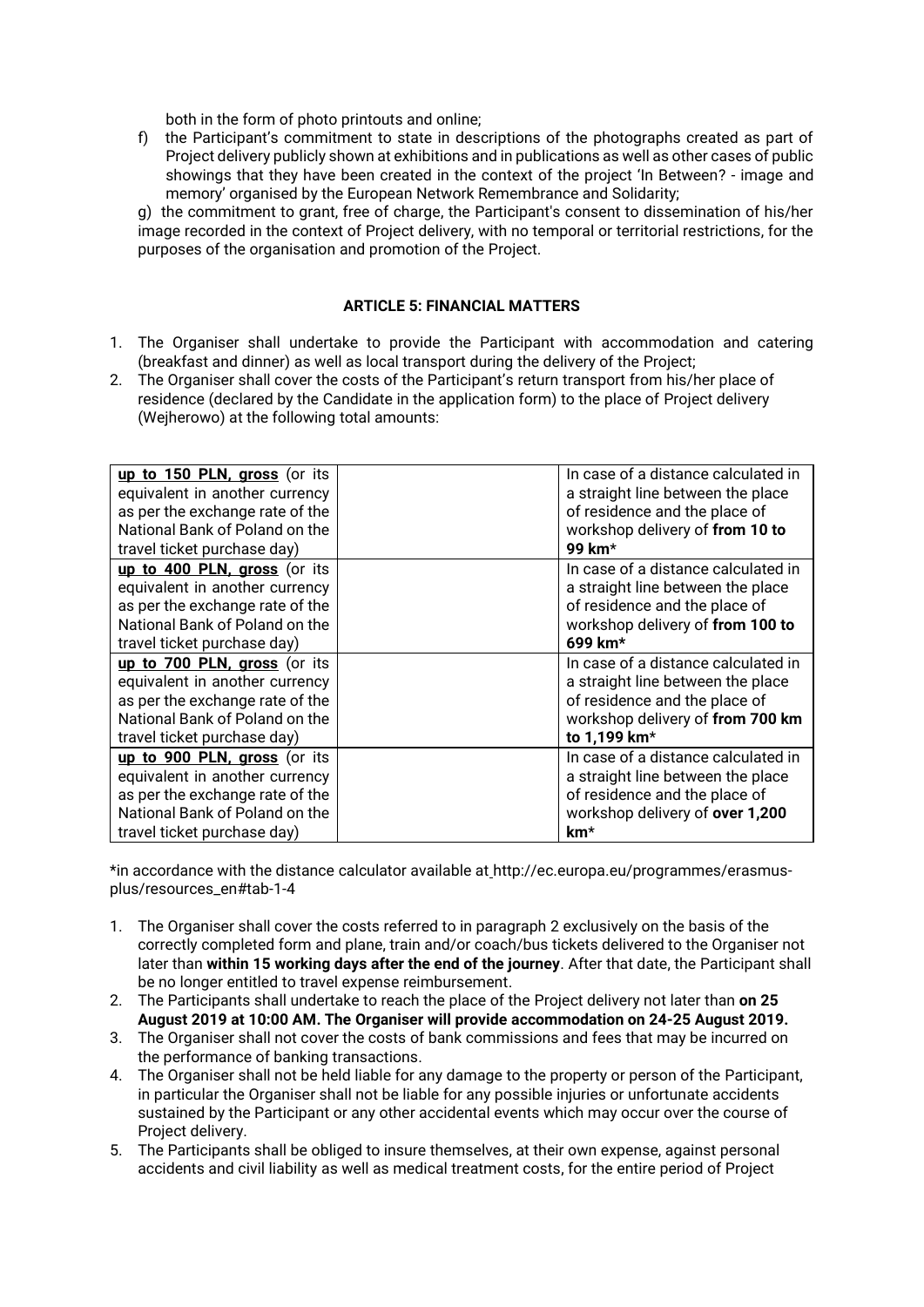both in the form of photo printouts and online;

f) the Participant's commitment to state in descriptions of the photographs created as part of Project delivery publicly shown at exhibitions and in publications as well as other cases of public showings that they have been created in the context of the project 'In Between? - image and memory' organised by the European Network Remembrance and Solidarity;

g) the commitment to grant, free of charge, the Participant's consent to dissemination of his/her image recorded in the context of Project delivery, with no temporal or territorial restrictions, for the purposes of the organisation and promotion of the Project.

#### **ARTICLE 5: FINANCIAL MATTERS**

- 1. The Organiser shall undertake to provide the Participant with accommodation and catering (breakfast and dinner) as well as local transport during the delivery of the Project;
- 2. The Organiser shall cover the costs of the Participant's return transport from his/her place of residence (declared by the Candidate in the application form) to the place of Project delivery (Wejherowo) at the following total amounts:

| up to 150 PLN, gross (or its<br>equivalent in another currency<br>as per the exchange rate of the<br>National Bank of Poland on the<br>travel ticket purchase day) | In case of a distance calculated in<br>a straight line between the place<br>of residence and the place of<br>workshop delivery of from 10 to<br>99 km*                    |
|--------------------------------------------------------------------------------------------------------------------------------------------------------------------|---------------------------------------------------------------------------------------------------------------------------------------------------------------------------|
| up to 400 PLN, gross (or its<br>equivalent in another currency<br>as per the exchange rate of the<br>National Bank of Poland on the<br>travel ticket purchase day) | In case of a distance calculated in<br>a straight line between the place<br>of residence and the place of<br>workshop delivery of from 100 to<br>699 km*                  |
| up to 700 PLN, gross (or its<br>equivalent in another currency<br>as per the exchange rate of the<br>National Bank of Poland on the<br>travel ticket purchase day) | In case of a distance calculated in<br>a straight line between the place<br>of residence and the place of<br>workshop delivery of from 700 km<br>to 1,199 km <sup>*</sup> |
| up to 900 PLN, gross (or its<br>equivalent in another currency<br>as per the exchange rate of the<br>National Bank of Poland on the<br>travel ticket purchase day) | In case of a distance calculated in<br>a straight line between the place<br>of residence and the place of<br>workshop delivery of over 1,200<br>km*                       |

\*in accordance with the distance calculator available at http://ec.europa.eu/programmes/erasmusplus/resources\_en#tab-1-4

- 1. The Organiser shall cover the costs referred to in paragraph 2 exclusively on the basis of the correctly completed form and plane, train and/or coach/bus tickets delivered to the Organiser not later than **within 15 working days after the end of the journey**. After that date, the Participant shall be no longer entitled to travel expense reimbursement.
- 2. The Participants shall undertake to reach the place of the Project delivery not later than **on 25 August 2019 at 10:00 AM. The Organiser will provide accommodation on 24-25 August 2019.**
- 3. The Organiser shall not cover the costs of bank commissions and fees that may be incurred on the performance of banking transactions.
- 4. The Organiser shall not be held liable for any damage to the property or person of the Participant, in particular the Organiser shall not be liable for any possible injuries or unfortunate accidents sustained by the Participant or any other accidental events which may occur over the course of Project delivery.
- 5. The Participants shall be obliged to insure themselves, at their own expense, against personal accidents and civil liability as well as medical treatment costs, for the entire period of Project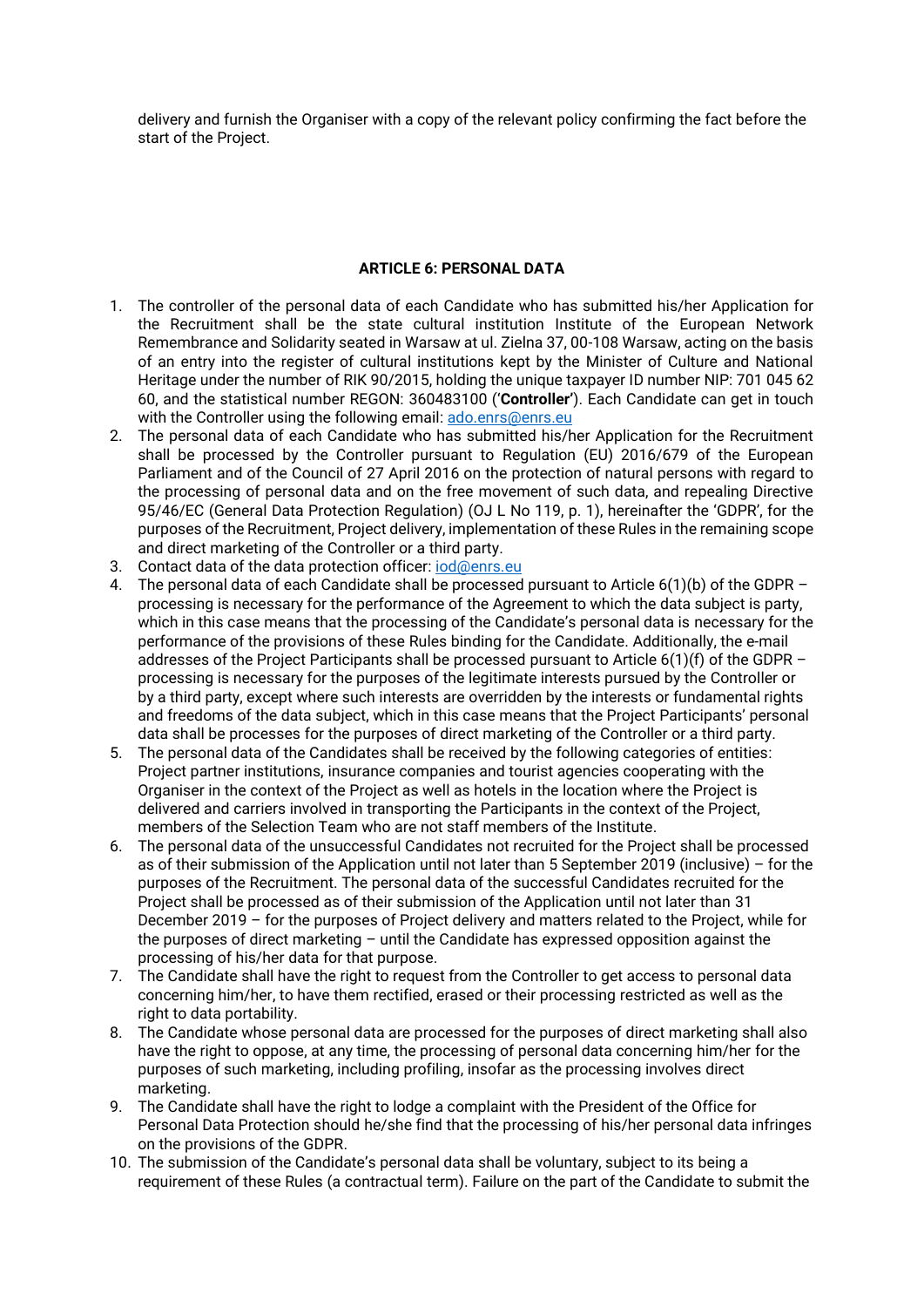delivery and furnish the Organiser with a copy of the relevant policy confirming the fact before the start of the Project.

### **ARTICLE 6: PERSONAL DATA**

- 1. The controller of the personal data of each Candidate who has submitted his/her Application for the Recruitment shall be the state cultural institution Institute of the European Network Remembrance and Solidarity seated in Warsaw at ul. Zielna 37, 00-108 Warsaw, acting on the basis of an entry into the register of cultural institutions kept by the Minister of Culture and National Heritage under the number of RIK 90/2015, holding the unique taxpayer ID number NIP: 701 045 62 60, and the statistical number REGON: 360483100 ('**Controller'**). Each Candidate can get in touch with the Controller using the following email: [ado.enrs@enrs.eu](mailto:ado.enrs@enrs.eu)
- 2. The personal data of each Candidate who has submitted his/her Application for the Recruitment shall be processed by the Controller pursuant to Regulation (EU) 2016/679 of the European Parliament and of the Council of 27 April 2016 on the protection of natural persons with regard to the processing of personal data and on the free movement of such data, and repealing Directive 95/46/EC (General Data Protection Regulation) (OJ L No 119, p. 1), hereinafter the 'GDPR', for the purposes of the Recruitment, Project delivery, implementation of these Rules in the remaining scope and direct marketing of the Controller or a third party.
- 3. Contact data of the data protection officer: jod@enrs.eu
- 4. The personal data of each Candidate shall be processed pursuant to Article 6(1)(b) of the GDPR processing is necessary for the performance of the Agreement to which the data subject is party, which in this case means that the processing of the Candidate's personal data is necessary for the performance of the provisions of these Rules binding for the Candidate. Additionally, the e-mail addresses of the Project Participants shall be processed pursuant to Article  $6(1)(f)$  of the GDPR  $\cdot$ processing is necessary for the purposes of the legitimate interests pursued by the Controller or by a third party, except where such interests are overridden by the interests or fundamental rights and freedoms of the data subject, which in this case means that the Project Participants' personal data shall be processes for the purposes of direct marketing of the Controller or a third party.
- 5. The personal data of the Candidates shall be received by the following categories of entities: Project partner institutions, insurance companies and tourist agencies cooperating with the Organiser in the context of the Project as well as hotels in the location where the Project is delivered and carriers involved in transporting the Participants in the context of the Project, members of the Selection Team who are not staff members of the Institute.
- 6. The personal data of the unsuccessful Candidates not recruited for the Project shall be processed as of their submission of the Application until not later than 5 September 2019 (inclusive) – for the purposes of the Recruitment. The personal data of the successful Candidates recruited for the Project shall be processed as of their submission of the Application until not later than 31 December 2019 – for the purposes of Project delivery and matters related to the Project, while for the purposes of direct marketing – until the Candidate has expressed opposition against the processing of his/her data for that purpose.
- 7. The Candidate shall have the right to request from the Controller to get access to personal data concerning him/her, to have them rectified, erased or their processing restricted as well as the right to data portability.
- 8. The Candidate whose personal data are processed for the purposes of direct marketing shall also have the right to oppose, at any time, the processing of personal data concerning him/her for the purposes of such marketing, including profiling, insofar as the processing involves direct marketing.
- 9. The Candidate shall have the right to lodge a complaint with the President of the Office for Personal Data Protection should he/she find that the processing of his/her personal data infringes on the provisions of the GDPR.
- 10. The submission of the Candidate's personal data shall be voluntary, subject to its being a requirement of these Rules (a contractual term). Failure on the part of the Candidate to submit the